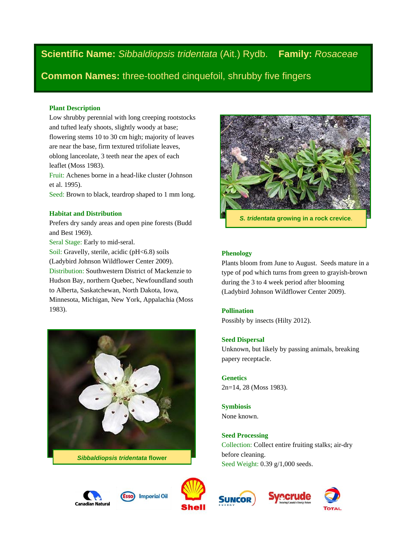**Scientific Name:** *Sibbaldiopsis tridentata* (Ait.) Rydb. **Family:** *Rosaceae*

**Common Names:** three-toothed cinquefoil, shrubby five fingers

## **Plant Description**

Low shrubby perennial with long creeping rootstocks and tufted leafy shoots, slightly woody at base; flowering stems 10 to 30 cm high; majority of leaves are near the base, firm textured trifoliate leaves, oblong lanceolate, 3 teeth near the apex of each leaflet (Moss 1983).

Fruit: Achenes borne in a head-like cluster (Johnson et al. 1995).

Seed: Brown to black, teardrop shaped to 1 mm long.

## **Habitat and Distribution**

Prefers dry sandy areas and open pine forests (Budd and Best 1969).

Seral Stage: Early to mid-seral.

Soil: Gravelly, sterile, acidic (pH<6.8) soils (Ladybird Johnson Wildflower Center 2009). Distribution: Southwestern District of Mackenzie to Hudson Bay, northern Quebec, Newfoundland south to Alberta, Saskatchewan, North Dakota, Iowa, Minnesota, Michigan, New York, Appalachia (Moss 1983).



*Sibbaldiopsis tridentata* **flower**







## **Phenology**

Plants bloom from June to August. Seeds mature in a type of pod which turns from green to grayish-brown during the 3 to 4 week period after blooming (Ladybird Johnson Wildflower Center 2009).

## **Pollination**

Possibly by insects (Hilty 2012).

## **Seed Dispersal**

Unknown, but likely by passing animals, breaking papery receptacle.

**Genetics** 2n=14, 28 (Moss 1983).

**Symbiosis** None known.

**Seed Processing** Collection: Collect entire fruiting stalks; air-dry before cleaning. Seed Weight: 0.39 g/1,000 seeds.



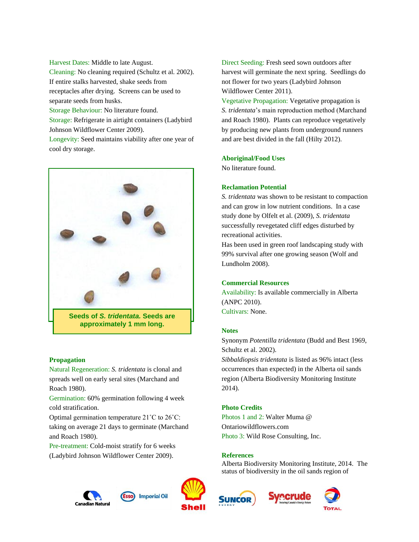Harvest Dates: Middle to late August.

Cleaning: No cleaning required (Schultz et al. 2002). If entire stalks harvested, shake seeds from receptacles after drying. Screens can be used to separate seeds from husks.

Storage Behaviour: No literature found.

Storage: Refrigerate in airtight containers (Ladybird Johnson Wildflower Center 2009).

Longevity: Seed maintains viability after one year of cool dry storage.



**Seeds of** *S. tridentata.* **Seeds are approximately 1 mm long.**

### **Propagation**

Natural Regeneration: *S. tridentata* is clonal and spreads well on early seral sites (Marchand and Roach 1980).

Germination: 60% germination following 4 week cold stratification.

Optimal germination temperature 21˚C to 26˚C: taking on average 21 days to germinate (Marchand and Roach 1980).

Pre-treatment: Cold-moist stratify for 6 weeks (Ladybird Johnson Wildflower Center 2009).





Direct Seeding: Fresh seed sown outdoors after harvest will germinate the next spring. Seedlings do not flower for two years (Ladybird Johnson Wildflower Center 2011).

Vegetative Propagation: Vegetative propagation is *S. tridentata*'s main reproduction method (Marchand and Roach 1980). Plants can reproduce vegetatively by producing new plants from underground runners and are best divided in the fall (Hilty 2012).

#### **Aboriginal/Food Uses**

No literature found.

### **Reclamation Potential**

*S. tridentata* was shown to be resistant to compaction and can grow in low nutrient conditions. In a case study done by Olfelt et al. (2009), *S. tridentata* successfully revegetated cliff edges disturbed by recreational activities.

Has been used in green roof landscaping study with 99% survival after one growing season (Wolf and Lundholm 2008).

### **Commercial Resources**

Availability: Is available commercially in Alberta (ANPC 2010). Cultivars: None.

#### **Notes**

Synonym *Potentilla tridentata* (Budd and Best 1969, Schultz et al. 2002). *Sibbaldiopsis tridentata* is listed as 96% intact (less occurrences than expected) in the Alberta oil sands region (Alberta Biodiversity Monitoring Institute

2014).

# **Photo Credits**

Photos 1 and 2: Walter Muma @ Ontariowildflowers.com Photo 3: Wild Rose Consulting, Inc.

### **References**

Alberta Biodiversity Monitoring Institute, 2014. The status of biodiversity in the oil sands region of